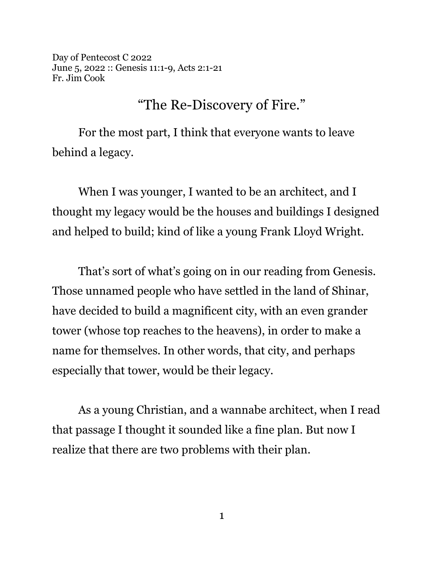Day of Pentecost C 2022 June 5, 2022 :: Genesis 11:1-9, Acts 2:1-21 Fr. Jim Cook

## "The Re-Discovery of Fire."

For the most part, I think that everyone wants to leave behind a legacy.

When I was younger, I wanted to be an architect, and I thought my legacy would be the houses and buildings I designed and helped to build; kind of like a young Frank Lloyd Wright.

That's sort of what's going on in our reading from Genesis. Those unnamed people who have settled in the land of Shinar, have decided to build a magnificent city, with an even grander tower (whose top reaches to the heavens), in order to make a name for themselves. In other words, that city, and perhaps especially that tower, would be their legacy.

As a young Christian, and a wannabe architect, when I read that passage I thought it sounded like a fine plan. But now I realize that there are two problems with their plan.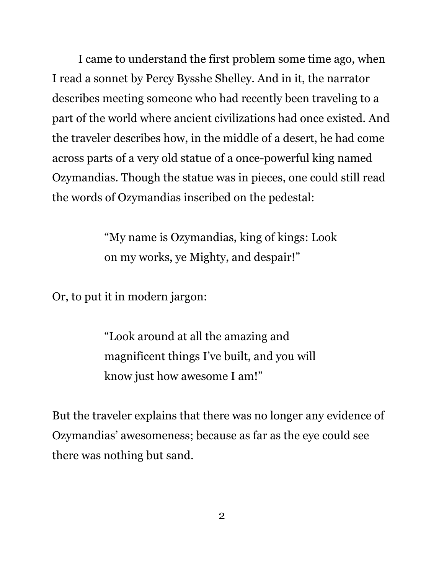I came to understand the first problem some time ago, when I read a sonnet by Percy Bysshe Shelley. And in it, the narrator describes meeting someone who had recently been traveling to a part of the world where ancient civilizations had once existed. And the traveler describes how, in the middle of a desert, he had come across parts of a very old statue of a once-powerful king named Ozymandias. Though the statue was in pieces, one could still read the words of Ozymandias inscribed on the pedestal:

> "My name is Ozymandias, king of kings: Look on my works, ye Mighty, and despair!"

Or, to put it in modern jargon:

"Look around at all the amazing and magnificent things I've built, and you will know just how awesome I am!"

But the traveler explains that there was no longer any evidence of Ozymandias' awesomeness; because as far as the eye could see there was nothing but sand.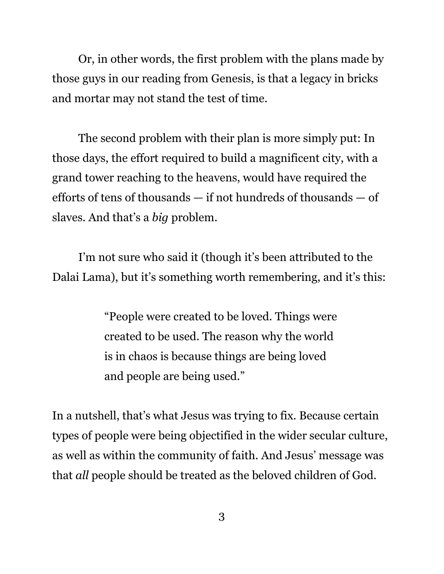Or, in other words, the first problem with the plans made by those guys in our reading from Genesis, is that a legacy in bricks and mortar may not stand the test of time.

The second problem with their plan is more simply put: In those days, the effort required to build a magnificent city, with a grand tower reaching to the heavens, would have required the efforts of tens of thousands — if not hundreds of thousands — of slaves. And that's a *big* problem.

I'm not sure who said it (though it's been attributed to the Dalai Lama), but it's something worth remembering, and it's this:

> "People were created to be loved. Things were created to be used. The reason why the world is in chaos is because things are being loved and people are being used."

In a nutshell, that's what Jesus was trying to fix. Because certain types of people were being objectified in the wider secular culture, as well as within the community of faith. And Jesus' message was that *all* people should be treated as the beloved children of God.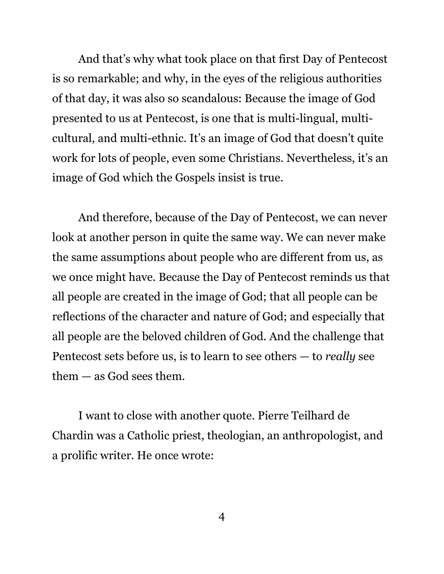And that's why what took place on that first Day of Pentecost is so remarkable; and why, in the eyes of the religious authorities of that day, it was also so scandalous: Because the image of God presented to us at Pentecost, is one that is multi-lingual, multicultural, and multi-ethnic. It's an image of God that doesn't quite work for lots of people, even some Christians. Nevertheless, it's an image of God which the Gospels insist is true.

And therefore, because of the Day of Pentecost, we can never look at another person in quite the same way. We can never make the same assumptions about people who are different from us, as we once might have. Because the Day of Pentecost reminds us that all people are created in the image of God; that all people can be reflections of the character and nature of God; and especially that all people are the beloved children of God. And the challenge that Pentecost sets before us, is to learn to see others — to *really* see them — as God sees them.

I want to close with another quote. Pierre Teilhard de Chardin was a Catholic priest, theologian, an anthropologist, and a prolific writer. He once wrote: